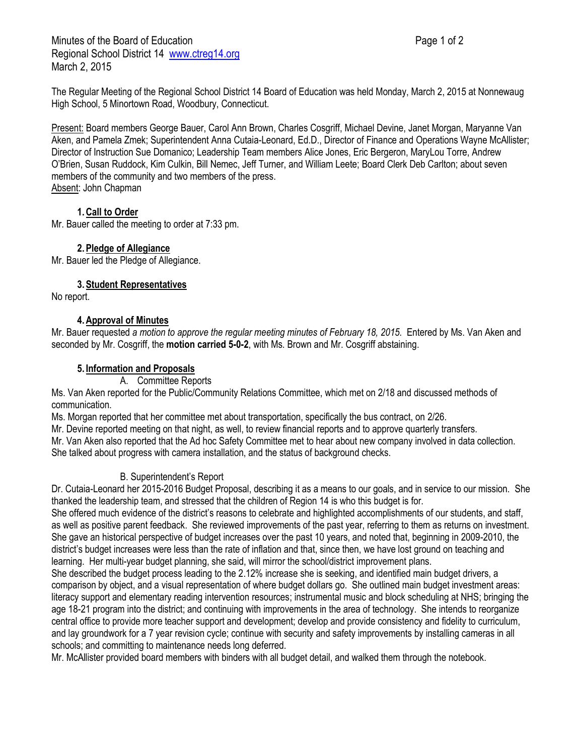Minutes of the Board of Education **Page 1 of 2** and 2 Regional School District 14 [www.ctreg14.org](http://www.ctreg14.org/) March 2, 2015

The Regular Meeting of the Regional School District 14 Board of Education was held Monday, March 2, 2015 at Nonnewaug High School, 5 Minortown Road, Woodbury, Connecticut.

Present: Board members George Bauer, Carol Ann Brown, Charles Cosgriff, Michael Devine, Janet Morgan, Maryanne Van Aken, and Pamela Zmek; Superintendent Anna Cutaia-Leonard, Ed.D., Director of Finance and Operations Wayne McAllister; Director of Instruction Sue Domanico; Leadership Team members Alice Jones, Eric Bergeron, MaryLou Torre, Andrew O'Brien, Susan Ruddock, Kim Culkin, Bill Nemec, Jeff Turner, and William Leete; Board Clerk Deb Carlton; about seven members of the community and two members of the press. Absent: John Chapman

# **1.Call to Order**

Mr. Bauer called the meeting to order at 7:33 pm.

# **2.Pledge of Allegiance**

Mr. Bauer led the Pledge of Allegiance.

**3.Student Representatives**

No report.

# **4.Approval of Minutes**

Mr. Bauer requested *a motion to approve the regular meeting minutes of February 18, 2015.* Entered by Ms. Van Aken and seconded by Mr. Cosgriff, the **motion carried 5-0-2**, with Ms. Brown and Mr. Cosgriff abstaining.

# **5. Information and Proposals**

### A. Committee Reports

Ms. Van Aken reported for the Public/Community Relations Committee, which met on 2/18 and discussed methods of communication.

Ms. Morgan reported that her committee met about transportation, specifically the bus contract, on 2/26.

Mr. Devine reported meeting on that night, as well, to review financial reports and to approve quarterly transfers.

Mr. Van Aken also reported that the Ad hoc Safety Committee met to hear about new company involved in data collection. She talked about progress with camera installation, and the status of background checks.

### B. Superintendent's Report

Dr. Cutaia-Leonard her 2015-2016 Budget Proposal, describing it as a means to our goals, and in service to our mission. She thanked the leadership team, and stressed that the children of Region 14 is who this budget is for.

She offered much evidence of the district's reasons to celebrate and highlighted accomplishments of our students, and staff, as well as positive parent feedback. She reviewed improvements of the past year, referring to them as returns on investment. She gave an historical perspective of budget increases over the past 10 years, and noted that, beginning in 2009-2010, the district's budget increases were less than the rate of inflation and that, since then, we have lost ground on teaching and learning. Her multi-year budget planning, she said, will mirror the school/district improvement plans.

She described the budget process leading to the 2.12% increase she is seeking, and identified main budget drivers, a comparison by object, and a visual representation of where budget dollars go. She outlined main budget investment areas: literacy support and elementary reading intervention resources; instrumental music and block scheduling at NHS; bringing the age 18-21 program into the district; and continuing with improvements in the area of technology. She intends to reorganize central office to provide more teacher support and development; develop and provide consistency and fidelity to curriculum, and lay groundwork for a 7 year revision cycle; continue with security and safety improvements by installing cameras in all schools; and committing to maintenance needs long deferred.

Mr. McAllister provided board members with binders with all budget detail, and walked them through the notebook.